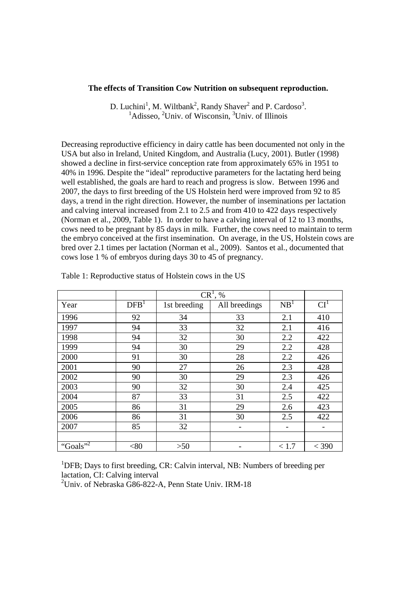### **The effects of Transition Cow Nutrition on subsequent reproduction.**

D. Luchini<sup>1</sup>, M. Wiltbank<sup>2</sup>, Randy Shaver<sup>2</sup> and P. Cardoso<sup>3</sup>.  $1\text{Adisseo}$ ,  $2\text{Univ}$ , of Wisconsin,  $3\text{Univ}$ , of Illinois

Decreasing reproductive efficiency in dairy cattle has been documented not only in the USA but also in Ireland, United Kingdom, and Australia (Lucy, 2001). Butler (1998) showed a decline in first-service conception rate from approximately 65% in 1951 to 40% in 1996. Despite the "ideal" reproductive parameters for the lactating herd being well established, the goals are hard to reach and progress is slow. Between 1996 and 2007, the days to first breeding of the US Holstein herd were improved from 92 to 85 days, a trend in the right direction. However, the number of inseminations per lactation and calving interval increased from 2.1 to 2.5 and from 410 to 422 days respectively (Norman et al., 2009, Table 1). In order to have a calving interval of 12 to 13 months, cows need to be pregnant by 85 days in milk. Further, the cows need to maintain to term the embryo conceived at the first insemination. On average, in the US, Holstein cows are bred over 2.1 times per lactation (Norman et al., 2009). Santos et al., documented that cows lose 1 % of embryos during days 30 to 45 of pregnancy.

|                      |                  | $CR^1, %$    |               |                 |                 |
|----------------------|------------------|--------------|---------------|-----------------|-----------------|
| Year                 | DFB <sup>1</sup> | 1st breeding | All breedings | NB <sup>1</sup> | CI <sup>1</sup> |
| 1996                 | 92               | 34           | 33            | 2.1             | 410             |
| 1997                 | 94               | 33           | 32            | 2.1             | 416             |
| 1998                 | 94               | 32           | 30            | 2.2             | 422             |
| 1999                 | 94               | 30           | 29            | 2.2             | 428             |
| 2000                 | 91               | 30           | 28            | 2.2             | 426             |
| 2001                 | 90               | 27           | 26            | 2.3             | 428             |
| 2002                 | 90               | 30           | 29            | 2.3             | 426             |
| 2003                 | 90               | 32           | 30            | 2.4             | 425             |
| 2004                 | 87               | 33           | 31            | 2.5             | 422             |
| 2005                 | 86               | 31           | 29            | 2.6             | 423             |
| 2006                 | 86               | 31           | 30            | 2.5             | 422             |
| 2007                 | 85               | 32           |               |                 |                 |
|                      |                  |              |               |                 |                 |
| "Goals" <sup>2</sup> | <80              | $>50$        |               | < 1.7           | $<$ 390         |

Table 1: Reproductive status of Holstein cows in the US

<sup>1</sup>DFB; Days to first breeding, CR: Calvin interval, NB: Numbers of breeding per lactation, CI: Calving interval

<sup>2</sup>Univ. of Nebraska G86-822-A, Penn State Univ. IRM-18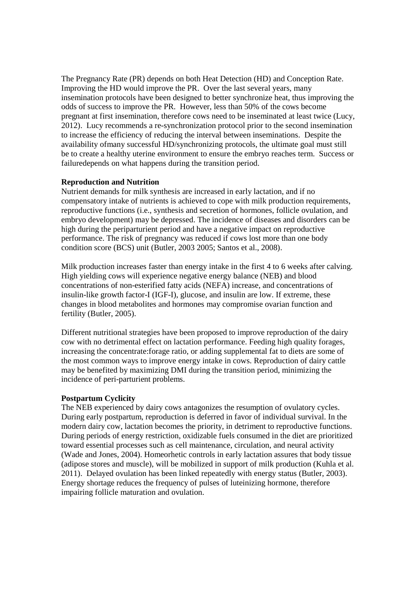The Pregnancy Rate (PR) depends on both Heat Detection (HD) and Conception Rate. Improving the HD would improve the PR. Over the last several years, many insemination protocols have been designed to better synchronize heat, thus improving the odds of success to improve the PR. However, less than 50% of the cows become pregnant at first insemination, therefore cows need to be inseminated at least twice (Lucy, 2012). Lucy recommends a re-synchronization protocol prior to the second insemination to increase the efficiency of reducing the interval between inseminations. Despite the availability ofmany successful HD/synchronizing protocols, the ultimate goal must still be to create a healthy uterine environment to ensure the embryo reaches term. Success or failuredepends on what happens during the transition period.

## **Reproduction and Nutrition**

Nutrient demands for milk synthesis are increased in early lactation, and if no compensatory intake of nutrients is achieved to cope with milk production requirements, reproductive functions (i.e., synthesis and secretion of hormones, follicle ovulation, and embryo development) may be depressed. The incidence of diseases and disorders can be high during the periparturient period and have a negative impact on reproductive performance. The risk of pregnancy was reduced if cows lost more than one body condition score (BCS) unit (Butler, 2003 2005; Santos et al., 2008).

Milk production increases faster than energy intake in the first 4 to 6 weeks after calving. High yielding cows will experience negative energy balance (NEB) and blood concentrations of non-esterified fatty acids (NEFA) increase, and concentrations of insulin-like growth factor-I (IGF-I), glucose, and insulin are low. If extreme, these changes in blood metabolites and hormones may compromise ovarian function and fertility (Butler, 2005).

Different nutritional strategies have been proposed to improve reproduction of the dairy cow with no detrimental effect on lactation performance. Feeding high quality forages, increasing the concentrate:forage ratio, or adding supplemental fat to diets are some of the most common ways to improve energy intake in cows. Reproduction of dairy cattle may be benefited by maximizing DMI during the transition period, minimizing the incidence of peri-parturient problems.

# **Postpartum Cyclicity**

The NEB experienced by dairy cows antagonizes the resumption of ovulatory cycles. During early postpartum, reproduction is deferred in favor of individual survival. In the modern dairy cow, lactation becomes the priority, in detriment to reproductive functions. During periods of energy restriction, oxidizable fuels consumed in the diet are prioritized toward essential processes such as cell maintenance, circulation, and neural activity (Wade and Jones, 2004). Homeorhetic controls in early lactation assures that body tissue (adipose stores and muscle), will be mobilized in support of milk production (Kuhla et al. 2011). Delayed ovulation has been linked repeatedly with energy status (Butler, 2003). Energy shortage reduces the frequency of pulses of luteinizing hormone, therefore impairing follicle maturation and ovulation.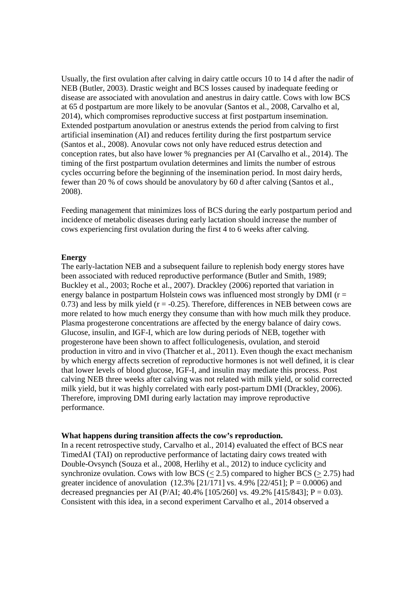Usually, the first ovulation after calving in dairy cattle occurs 10 to 14 d after the nadir of NEB (Butler, 2003). Drastic weight and BCS losses caused by inadequate feeding or disease are associated with anovulation and anestrus in dairy cattle. Cows with low BCS at 65 d postpartum are more likely to be anovular (Santos et al., 2008, Carvalho et al, 2014), which compromises reproductive success at first postpartum insemination. Extended postpartum anovulation or anestrus extends the period from calving to first artificial insemination (AI) and reduces fertility during the first postpartum service (Santos et al., 2008). Anovular cows not only have reduced estrus detection and conception rates, but also have lower % pregnancies per AI (Carvalho et al., 2014). The timing of the first postpartum ovulation determines and limits the number of estrous cycles occurring before the beginning of the insemination period. In most dairy herds, fewer than 20 % of cows should be anovulatory by 60 d after calving (Santos et al., 2008).

Feeding management that minimizes loss of BCS during the early postpartum period and incidence of metabolic diseases during early lactation should increase the number of cows experiencing first ovulation during the first 4 to 6 weeks after calving.

#### **Energy**

The early-lactation NEB and a subsequent failure to replenish body energy stores have been associated with reduced reproductive performance (Butler and Smith, 1989; Buckley et al., 2003; Roche et al., 2007). Drackley (2006) reported that variation in energy balance in postpartum Holstein cows was influenced most strongly by DMI ( $r =$ 0.73) and less by milk yield ( $r = -0.25$ ). Therefore, differences in NEB between cows are more related to how much energy they consume than with how much milk they produce. Plasma progesterone concentrations are affected by the energy balance of dairy cows. Glucose, insulin, and IGF-I, which are low during periods of NEB, together with progesterone have been shown to affect folliculogenesis, ovulation, and steroid production in vitro and in vivo (Thatcher et al., 2011). Even though the exact mechanism by which energy affects secretion of reproductive hormones is not well defined, it is clear that lower levels of blood glucose, IGF-I, and insulin may mediate this process. Post calving NEB three weeks after calving was not related with milk yield, or solid corrected milk yield, but it was highly correlated with early post-partum DMI (Drackley, 2006). Therefore, improving DMI during early lactation may improve reproductive performance.

### **What happens during transition affects the cow's reproduction.**

In a recent retrospective study, Carvalho et al*.*, 2014) evaluated the effect of BCS near TimedAI (TAI) on reproductive performance of lactating dairy cows treated with Double-Ovsynch (Souza et al., 2008, Herlihy et al., 2012) to induce cyclicity and synchronize ovulation. Cows with low BCS  $(< 2.5)$  compared to higher BCS  $(> 2.75)$  had greater incidence of anovulation  $(12.3\%$  [21/171] vs. 4.9% [22/451]; P = 0.0006) and decreased pregnancies per AI (P/AI; 40.4% [105/260] vs. 49.2% [415/843]; P = 0.03). Consistent with this idea, in a second experiment Carvalho et al., 2014 observed a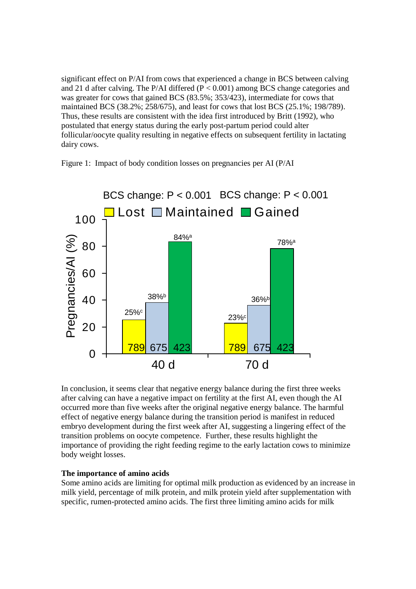significant effect on P/AI from cows that experienced a change in BCS between calving and 21 d after calving. The P/AI differed  $(P < 0.001)$  among BCS change categories and was greater for cows that gained BCS (83.5%; 353/423), intermediate for cows that maintained BCS (38.2%; 258/675), and least for cows that lost BCS (25.1%; 198/789). Thus, these results are consistent with the idea first introduced by Britt (1992), who postulated that energy status during the early post-partum period could alter follicular/oocyte quality resulting in negative effects on subsequent fertility in lactating dairy cows.



Figure 1: Impact of body condition losses on pregnancies per AI (P/AI

In conclusion, it seems clear that negative energy balance during the first three weeks after calving can have a negative impact on fertility at the first AI, even though the AI occurred more than five weeks after the original negative energy balance. The harmful effect of negative energy balance during the transition period is manifest in reduced embryo development during the first week after AI, suggesting a lingering effect of the transition problems on oocyte competence. Further, these results highlight the importance of providing the right feeding regime to the early lactation cows to minimize body weight losses.

## **The importance of amino acids**

Some amino acids are limiting for optimal milk production as evidenced by an increase in milk yield, percentage of milk protein, and milk protein yield after supplementation with specific, rumen-protected amino acids. The first three limiting amino acids for milk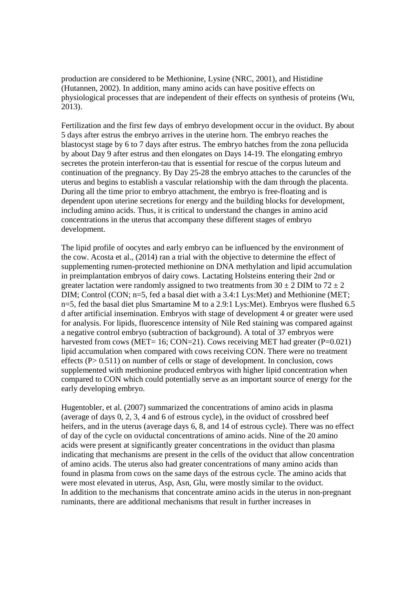production are considered to be Methionine, Lysine (NRC, 2001), and Histidine (Hutannen, 2002). In addition, many amino acids can have positive effects on physiological processes that are independent of their effects on synthesis of proteins (Wu, 2013).

Fertilization and the first few days of embryo development occur in the oviduct. By about 5 days after estrus the embryo arrives in the uterine horn. The embryo reaches the blastocyst stage by 6 to 7 days after estrus. The embryo hatches from the zona pellucida by about Day 9 after estrus and then elongates on Days 14-19. The elongating embryo secretes the protein interferon-tau that is essential for rescue of the corpus luteum and continuation of the pregnancy. By Day 25-28 the embryo attaches to the caruncles of the uterus and begins to establish a vascular relationship with the dam through the placenta. During all the time prior to embryo attachment, the embryo is free-floating and is dependent upon uterine secretions for energy and the building blocks for development, including amino acids. Thus, it is critical to understand the changes in amino acid concentrations in the uterus that accompany these different stages of embryo development.

The lipid profile of oocytes and early embryo can be influenced by the environment of the cow. Acosta et al., (2014) ran a trial with the objective to determine the effect of supplementing rumen-protected methionine on DNA methylation and lipid accumulation in preimplantation embryos of dairy cows. Lactating Holsteins entering their 2nd or greater lactation were randomly assigned to two treatments from  $30 \pm 2$  DIM to  $72 \pm 2$ DIM; Control (CON; n=5, fed a basal diet with a 3.4:1 Lys:Met) and Methionine (MET; n=5, fed the basal diet plus Smartamine M to a 2.9:1 Lys:Met). Embryos were flushed 6.5 d after artificial insemination. Embryos with stage of development 4 or greater were used for analysis. For lipids, fluorescence intensity of Nile Red staining was compared against a negative control embryo (subtraction of background). A total of 37 embryos were harvested from cows (MET= 16; CON=21). Cows receiving MET had greater ( $P=0.021$ ) lipid accumulation when compared with cows receiving CON. There were no treatment effects (P> 0.511) on number of cells or stage of development. In conclusion, cows supplemented with methionine produced embryos with higher lipid concentration when compared to CON which could potentially serve as an important source of energy for the early developing embryo.

Hugentobler, et al. (2007) summarized the concentrations of amino acids in plasma (average of days 0, 2, 3, 4 and 6 of estrous cycle), in the oviduct of crossbred beef heifers, and in the uterus (average days 6, 8, and 14 of estrous cycle). There was no effect of day of the cycle on oviductal concentrations of amino acids. Nine of the 20 amino acids were present at significantly greater concentrations in the oviduct than plasma indicating that mechanisms are present in the cells of the oviduct that allow concentration of amino acids. The uterus also had greater concentrations of many amino acids than found in plasma from cows on the same days of the estrous cycle. The amino acids that were most elevated in uterus, Asp, Asn, Glu, were mostly similar to the oviduct. In addition to the mechanisms that concentrate amino acids in the uterus in non-pregnant ruminants, there are additional mechanisms that result in further increases in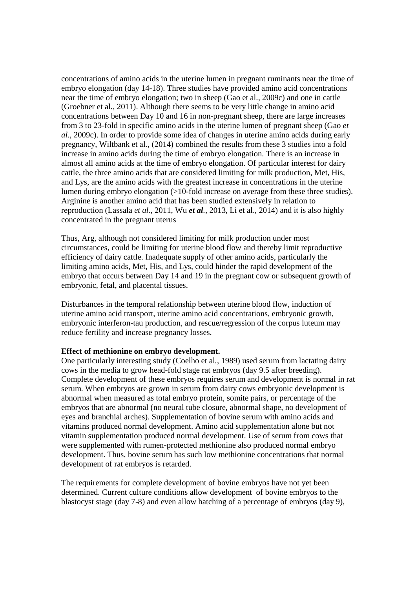concentrations of amino acids in the uterine lumen in pregnant ruminants near the time of embryo elongation (day 14-18). Three studies have provided amino acid concentrations near the time of embryo elongation; two in sheep (Gao et al., 2009c) and one in cattle (Groebner et al*.*, 2011). Although there seems to be very little change in amino acid concentrations between Day 10 and 16 in non-pregnant sheep, there are large increases from 3 to 23-fold in specific amino acids in the uterine lumen of pregnant sheep (Gao *et al.*, 2009c). In order to provide some idea of changes in uterine amino acids during early pregnancy, Wiltbank et al., (2014) combined the results from these 3 studies into a fold increase in amino acids during the time of embryo elongation. There is an increase in almost all amino acids at the time of embryo elongation. Of particular interest for dairy cattle, the three amino acids that are considered limiting for milk production, Met, His, and Lys, are the amino acids with the greatest increase in concentrations in the uterine lumen during embryo elongation (>10-fold increase on average from these three studies). Arginine is another amino acid that has been studied extensively in relation to reproduction (Lassala *et al.*, 2011, Wu *et al.*, 2013, Li et al., 2014) and it is also highly concentrated in the pregnant uterus

Thus, Arg, although not considered limiting for milk production under most circumstances, could be limiting for uterine blood flow and thereby limit reproductive efficiency of dairy cattle. Inadequate supply of other amino acids, particularly the limiting amino acids, Met, His, and Lys, could hinder the rapid development of the embryo that occurs between Day 14 and 19 in the pregnant cow or subsequent growth of embryonic, fetal, and placental tissues.

Disturbances in the temporal relationship between uterine blood flow, induction of uterine amino acid transport, uterine amino acid concentrations, embryonic growth, embryonic interferon-tau production, and rescue/regression of the corpus luteum may reduce fertility and increase pregnancy losses.

## **Effect of methionine on embryo development.**

One particularly interesting study (Coelho et al*.*, 1989) used serum from lactating dairy cows in the media to grow head-fold stage rat embryos (day 9.5 after breeding). Complete development of these embryos requires serum and development is normal in rat serum. When embryos are grown in serum from dairy cows embryonic development is abnormal when measured as total embryo protein, somite pairs, or percentage of the embryos that are abnormal (no neural tube closure, abnormal shape, no development of eyes and branchial arches). Supplementation of bovine serum with amino acids and vitamins produced normal development. Amino acid supplementation alone but not vitamin supplementation produced normal development. Use of serum from cows that were supplemented with rumen-protected methionine also produced normal embryo development. Thus, bovine serum has such low methionine concentrations that normal development of rat embryos is retarded.

The requirements for complete development of bovine embryos have not yet been determined. Current culture conditions allow development of bovine embryos to the blastocyst stage (day 7-8) and even allow hatching of a percentage of embryos (day 9),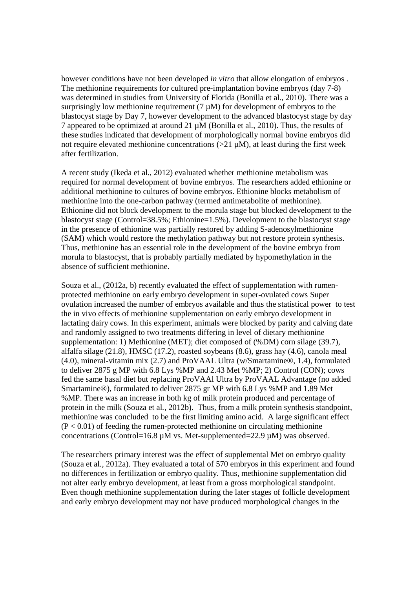however conditions have not been developed *in vitro* that allow elongation of embryos . The methionine requirements for cultured pre-implantation bovine embryos (day 7-8) was determined in studies from University of Florida (Bonilla et al*.*, 2010). There was a surprisingly low methionine requirement  $(7 \mu M)$  for development of embryos to the blastocyst stage by Day 7, however development to the advanced blastocyst stage by day 7 appeared to be optimized at around 21 µM (Bonilla et al*.*, 2010). Thus, the results of these studies indicated that development of morphologically normal bovine embryos did not require elevated methionine concentrations  $(>21 \mu M)$ , at least during the first week after fertilization.

A recent study (Ikeda et al*.*, 2012) evaluated whether methionine metabolism was required for normal development of bovine embryos. The researchers added ethionine or additional methionine to cultures of bovine embryos. Ethionine blocks metabolism of methionine into the one-carbon pathway (termed antimetabolite of methionine). Ethionine did not block development to the morula stage but blocked development to the blastocyst stage (Control=38.5%; Ethionine=1.5%). Development to the blastocyst stage in the presence of ethionine was partially restored by adding S-adenosylmethionine (SAM) which would restore the methylation pathway but not restore protein synthesis. Thus, methionine has an essential role in the development of the bovine embryo from morula to blastocyst, that is probably partially mediated by hypomethylation in the absence of sufficient methionine.

Souza et al., (2012a, b) recently evaluated the effect of supplementation with rumenprotected methionine on early embryo development in super-ovulated cows Super ovulation increased the number of embryos available and thus the statistical power to test the in vivo effects of methionine supplementation on early embryo development in lactating dairy cows. In this experiment, animals were blocked by parity and calving date and randomly assigned to two treatments differing in level of dietary methionine supplementation: 1) Methionine (MET); diet composed of (%DM) corn silage (39.7), alfalfa silage (21.8), HMSC (17.2), roasted soybeans (8.6), grass hay (4.6), canola meal (4.0), mineral-vitamin mix (2.7) and ProVAAL Ultra (w/Smartamine®, 1.4), formulated to deliver 2875 g MP with 6.8 Lys %MP and 2.43 Met %MP; 2) Control (CON); cows fed the same basal diet but replacing ProVAAl Ultra by ProVAAL Advantage (no added Smartamine®), formulated to deliver 2875 gr MP with 6.8 Lys %MP and 1.89 Met %MP. There was an increase in both kg of milk protein produced and percentage of protein in the milk (Souza et al*.*, 2012b). Thus, from a milk protein synthesis standpoint, methionine was concluded to be the first limiting amino acid. A large significant effect  $(P < 0.01)$  of feeding the rumen-protected methionine on circulating methionine concentrations (Control=16.8  $\mu$ M vs. Met-supplemented=22.9  $\mu$ M) was observed.

The researchers primary interest was the effect of supplemental Met on embryo quality (Souza et al*.*, 2012a). They evaluated a total of 570 embryos in this experiment and found no differences in fertilization or embryo quality. Thus, methionine supplementation did not alter early embryo development, at least from a gross morphological standpoint. Even though methionine supplementation during the later stages of follicle development and early embryo development may not have produced morphological changes in the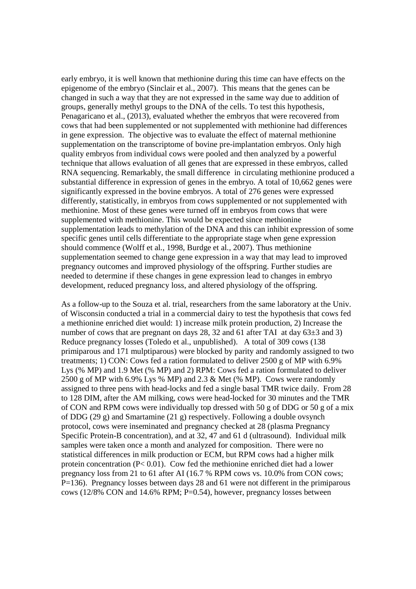early embryo, it is well known that methionine during this time can have effects on the epigenome of the embryo (Sinclair et al*.*, 2007). This means that the genes can be changed in such a way that they are not expressed in the same way due to addition of groups, generally methyl groups to the DNA of the cells. To test this hypothesis, Penagaricano et al., (2013), evaluated whether the embryos that were recovered from cows that had been supplemented or not supplemented with methionine had differences in gene expression. The objective was to evaluate the effect of maternal methionine supplementation on the transcriptome of bovine pre-implantation embryos. Only high quality embryos from individual cows were pooled and then analyzed by a powerful technique that allows evaluation of all genes that are expressed in these embryos, called RNA sequencing. Remarkably, the small difference in circulating methionine produced a substantial difference in expression of genes in the embryo. A total of 10,662 genes were significantly expressed in the bovine embryos. A total of 276 genes were expressed differently, statistically, in embryos from cows supplemented or not supplemented with methionine. Most of these genes were turned off in embryos from cows that were supplemented with methionine. This would be expected since methionine supplementation leads to methylation of the DNA and this can inhibit expression of some specific genes until cells differentiate to the appropriate stage when gene expression should commence (Wolff et al*.*, 1998, Burdge et al*.*, 2007). Thus methionine supplementation seemed to change gene expression in a way that may lead to improved pregnancy outcomes and improved physiology of the offspring. Further studies are needed to determine if these changes in gene expression lead to changes in embryo development, reduced pregnancy loss, and altered physiology of the offspring.

As a follow-up to the Souza et al. trial, researchers from the same laboratory at the Univ. of Wisconsin conducted a trial in a commercial dairy to test the hypothesis that cows fed a methionine enriched diet would: 1) increase milk protein production, 2) Increase the number of cows that are pregnant on days 28, 32 and 61 after TAI at day  $63\pm3$  and 3) Reduce pregnancy losses (Toledo et al., unpublished). A total of 309 cows (138 primiparous and 171 mulptiparous) were blocked by parity and randomly assigned to two treatments; 1) CON: Cows fed a ration formulated to deliver 2500 g of MP with 6.9% Lys (% MP) and 1.9 Met (% MP) and 2) RPM: Cows fed a ration formulated to deliver 2500 g of MP with 6.9% Lys % MP) and 2.3 & Met (% MP). Cows were randomly assigned to three pens with head-locks and fed a single basal TMR twice daily. From 28 to 128 DIM, after the AM milking, cows were head-locked for 30 minutes and the TMR of CON and RPM cows were individually top dressed with 50 g of DDG or 50 g of a mix of DDG (29 g) and Smartamine (21 g) respectively. Following a double ovsynch protocol, cows were inseminated and pregnancy checked at 28 (plasma Pregnancy Specific Protein-B concentration), and at 32, 47 and 61 d (ultrasound). Individual milk samples were taken once a month and analyzed for composition. There were no statistical differences in milk production or ECM, but RPM cows had a higher milk protein concentration (P< 0.01). Cow fed the methionine enriched diet had a lower pregnancy loss from 21 to 61 after AI (16.7 % RPM cows vs. 10.0% from CON cows; P=136). Pregnancy losses between days 28 and 61 were not different in the primiparous cows (12/8% CON and 14.6% RPM; P=0.54), however, pregnancy losses between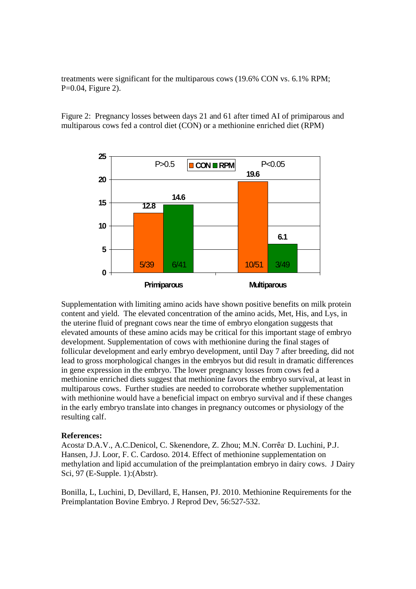treatments were significant for the multiparous cows (19.6% CON vs. 6.1% RPM; P=0.04, Figure 2).

Figure 2: Pregnancy losses between days 21 and 61 after timed AI of primiparous and multiparous cows fed a control diet (CON) or a methionine enriched diet (RPM)



Supplementation with limiting amino acids have shown positive benefits on milk protein content and yield. The elevated concentration of the amino acids, Met, His, and Lys, in the uterine fluid of pregnant cows near the time of embryo elongation suggests that elevated amounts of these amino acids may be critical for this important stage of embryo development. Supplementation of cows with methionine during the final stages of follicular development and early embryo development, until Day 7 after breeding, did not lead to gross morphological changes in the embryos but did result in dramatic differences in gene expression in the embryo. The lower pregnancy losses from cows fed a methionine enriched diets suggest that methionine favors the embryo survival, at least in multiparous cows. Further studies are needed to corroborate whether supplementation with methionine would have a beneficial impact on embryo survival and if these changes in the early embryo translate into changes in pregnancy outcomes or physiology of the resulting calf.

## **References:**

Acosta' D.A.V., A.C.Denicol, C. Skenendore, Z. Zhou; M.N. Corrêa' D. Luchini, P.J. Hansen, J.J. Loor, F. C. Cardoso. 2014. Effect of methionine supplementation on methylation and lipid accumulation of the preimplantation embryo in dairy cows. J Dairy Sci*,* 97 (E-Supple. 1):(Abstr).

Bonilla, L, Luchini, D, Devillard, E, Hansen, PJ. 2010. Methionine Requirements for the Preimplantation Bovine Embryo. J Reprod Dev, 56:527-532.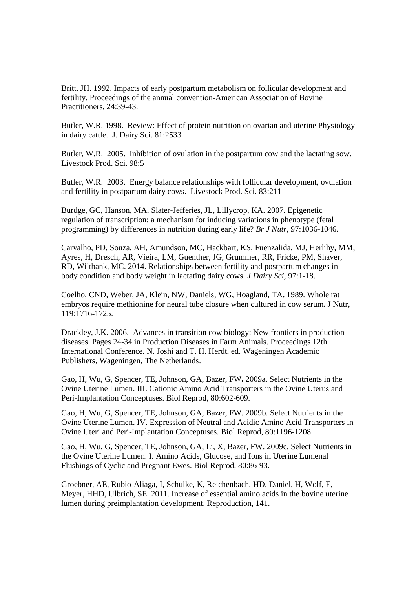Britt, JH. 1992. Impacts of early postpartum metabolism on follicular development and fertility. Proceedings of the annual convention-American Association of Bovine Practitioners, 24:39-43.

Butler, W.R. 1998. Review: Effect of protein nutrition on ovarian and uterine Physiology in dairy cattle. J. Dairy Sci. 81:2533

Butler, W.R. 2005. Inhibition of ovulation in the postpartum cow and the lactating sow. Livestock Prod. Sci. 98:5

Butler, W.R. 2003. Energy balance relationships with follicular development, ovulation and fertility in postpartum dairy cows. Livestock Prod. Sci. 83:211

Burdge, GC, Hanson, MA, Slater-Jefferies, JL, Lillycrop, KA. 2007. Epigenetic regulation of transcription: a mechanism for inducing variations in phenotype (fetal programming) by differences in nutrition during early life? *Br J Nutr*, 97:1036-1046.

Carvalho, PD, Souza, AH, Amundson, MC, Hackbart, KS, Fuenzalida, MJ, Herlihy, MM, Ayres, H, Dresch, AR, Vieira, LM, Guenther, JG, Grummer, RR, Fricke, PM, Shaver, RD, Wiltbank, MC. 2014. Relationships between fertility and postpartum changes in body condition and body weight in lactating dairy cows. *J Dairy Sci*, 97:1-18.

Coelho, CND, Weber, JA, Klein, NW, Daniels, WG, Hoagland, TA**.** 1989. Whole rat embryos require methionine for neural tube closure when cultured in cow serum. J Nutr, 119:1716-1725.

Drackley, J.K. 2006. Advances in transition cow biology: New frontiers in production diseases. Pages 24-34 in Production Diseases in Farm Animals. Proceedings 12th International Conference. N. Joshi and T. H. Herdt, ed. Wageningen Academic Publishers, Wageningen, The Netherlands.

Gao, H, Wu, G, Spencer, TE, Johnson, GA, Bazer, FW**.** 2009a. Select Nutrients in the Ovine Uterine Lumen. III. Cationic Amino Acid Transporters in the Ovine Uterus and Peri-Implantation Conceptuses. Biol Reprod, 80:602-609.

Gao, H, Wu, G, Spencer, TE, Johnson, GA, Bazer, FW. 2009b. Select Nutrients in the Ovine Uterine Lumen. IV. Expression of Neutral and Acidic Amino Acid Transporters in Ovine Uteri and Peri-Implantation Conceptuses. Biol Reprod, 80:1196-1208.

Gao, H, Wu, G, Spencer, TE, Johnson, GA, Li, X, Bazer, FW. 2009c. Select Nutrients in the Ovine Uterine Lumen. I. Amino Acids, Glucose, and Ions in Uterine Lumenal Flushings of Cyclic and Pregnant Ewes. Biol Reprod, 80:86-93.

Groebner, AE, Rubio-Aliaga, I, Schulke, K, Reichenbach, HD, Daniel, H, Wolf, E, Meyer, HHD, Ulbrich, SE. 2011. Increase of essential amino acids in the bovine uterine lumen during preimplantation development. Reproduction, 141.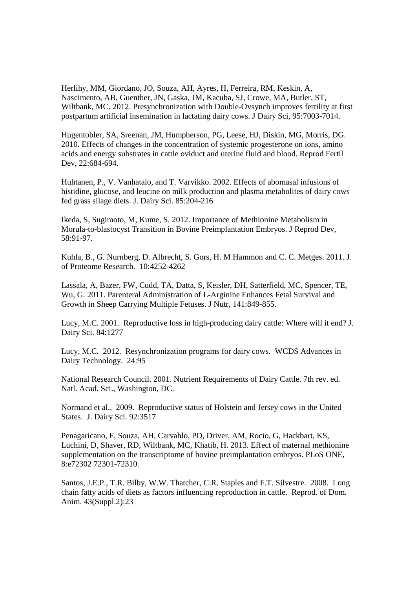Herlihy, MM, Giordano, JO, Souza, AH, Ayres, H, Ferreira, RM, Keskin, A, Nascimento, AB, Guenther, JN, Gaska, JM, Kacuba, SJ, Crowe, MA, Butler, ST, Wiltbank, MC. 2012. Presynchronization with Double-Ovsynch improves fertility at first postpartum artificial insemination in lactating dairy cows. J Dairy Sci, 95:7003-7014.

Hugentobler, SA, Sreenan, JM, Humpherson, PG, Leese, HJ, Diskin, MG, Morris, DG. 2010. Effects of changes in the concentration of systemic progesterone on ions, amino acids and energy substrates in cattle oviduct and uterine fluid and blood. Reprod Fertil Dev. 22:684-694.

Huhtanen, P., V. Vanhatalo, and T. Varvikko. 2002. Effects of abomasal infusions of histidine, glucose, and leucine on milk production and plasma metabolites of dairy cows fed grass silage diets. J. Dairy Sci. 85:204-216

Ikeda, S, Sugimoto, M, Kume, S. 2012. Importance of Methionine Metabolism in Morula-to-blastocyst Transition in Bovine Preimplantation Embryos. J Reprod Dev, 58:91-97.

Kuhla, B., G. Nurnberg, D. Albrecht, S. Gors, H. M Hammon and C. C. Metges. 2011. J. of Proteome Research. 10:4252-4262

Lassala, A, Bazer, FW, Cudd, TA, Datta, S, Keisler, DH, Satterfield, MC, Spencer, TE, Wu, G. 2011. Parenteral Administration of L-Arginine Enhances Fetal Survival and Growth in Sheep Carrying Multiple Fetuses. J Nutr, 141:849-855.

Lucy, M.C. 2001. Reproductive loss in high-producing dairy cattle: Where will it end? J. Dairy Sci. 84:1277

Lucy, M.C. 2012. Resynchronization programs for dairy cows. WCDS Advances in Dairy Technology. 24:95

National Research Council. 2001. Nutrient Requirements of Dairy Cattle. 7th rev. ed. Natl. Acad. Sci., Washington, DC.

Normand et al., 2009. Reproductive status of Holstein and Jersey cows in the United States. J. Dairy Sci. 92:3517

Penagaricano, F, Souza, AH, Carvahlo, PD, Driver, AM, Rocio, G, Hackbart, KS, Luchini, D, Shaver, RD, Wiltbank, MC, Khatib, H. 2013. Effect of maternal methionine supplementation on the transcriptome of bovine preimplantation embryos. PLoS ONE, 8:e72302 72301-72310.

Santos, J.E.P., T.R. Bilby, W.W. Thatcher, C.R. Staples and F.T. Silvestre. 2008. Long chain fatty acids of diets as factors influencing reproduction in cattle. Reprod. of Dom. Anim. 43(Suppl.2):23